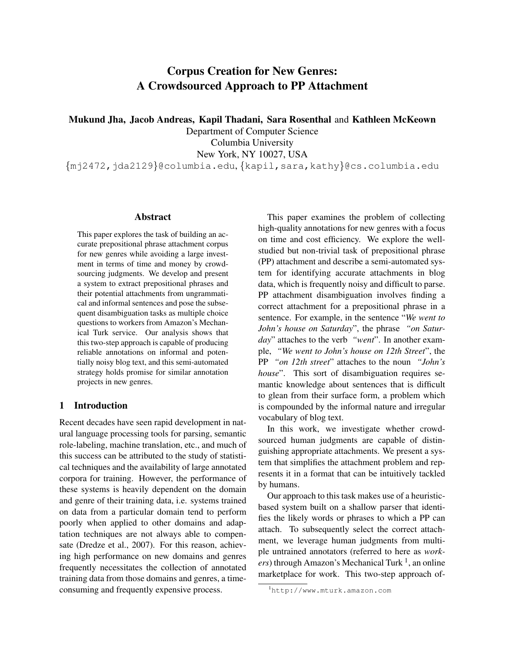# Corpus Creation for New Genres: A Crowdsourced Approach to PP Attachment

Mukund Jha, Jacob Andreas, Kapil Thadani, Sara Rosenthal and Kathleen McKeown

Department of Computer Science Columbia University New York, NY 10027, USA

{mj2472,jda2129}@columbia.edu, {kapil,sara,kathy}@cs.columbia.edu

## Abstract

This paper explores the task of building an accurate prepositional phrase attachment corpus for new genres while avoiding a large investment in terms of time and money by crowdsourcing judgments. We develop and present a system to extract prepositional phrases and their potential attachments from ungrammatical and informal sentences and pose the subsequent disambiguation tasks as multiple choice questions to workers from Amazon's Mechanical Turk service. Our analysis shows that this two-step approach is capable of producing reliable annotations on informal and potentially noisy blog text, and this semi-automated strategy holds promise for similar annotation projects in new genres.

# 1 Introduction

Recent decades have seen rapid development in natural language processing tools for parsing, semantic role-labeling, machine translation, etc., and much of this success can be attributed to the study of statistical techniques and the availability of large annotated corpora for training. However, the performance of these systems is heavily dependent on the domain and genre of their training data, i.e. systems trained on data from a particular domain tend to perform poorly when applied to other domains and adaptation techniques are not always able to compensate (Dredze et al., 2007). For this reason, achieving high performance on new domains and genres frequently necessitates the collection of annotated training data from those domains and genres, a timeconsuming and frequently expensive process.

This paper examines the problem of collecting high-quality annotations for new genres with a focus on time and cost efficiency. We explore the wellstudied but non-trivial task of prepositional phrase (PP) attachment and describe a semi-automated system for identifying accurate attachments in blog data, which is frequently noisy and difficult to parse. PP attachment disambiguation involves finding a correct attachment for a prepositional phrase in a sentence. For example, in the sentence "*We went to John's house on Saturday*", the phrase *"on Saturday*" attaches to the verb *"went*". In another example, *"We went to John's house on 12th Street*", the PP *"on 12th street*" attaches to the noun *"John's house*". This sort of disambiguation requires semantic knowledge about sentences that is difficult to glean from their surface form, a problem which is compounded by the informal nature and irregular vocabulary of blog text.

In this work, we investigate whether crowdsourced human judgments are capable of distinguishing appropriate attachments. We present a system that simplifies the attachment problem and represents it in a format that can be intuitively tackled by humans.

Our approach to this task makes use of a heuristicbased system built on a shallow parser that identifies the likely words or phrases to which a PP can attach. To subsequently select the correct attachment, we leverage human judgments from multiple untrained annotators (referred to here as *work*ers) through Amazon's Mechanical Turk <sup>1</sup>, an online marketplace for work. This two-step approach of-

<sup>1</sup>http://www.mturk.amazon.com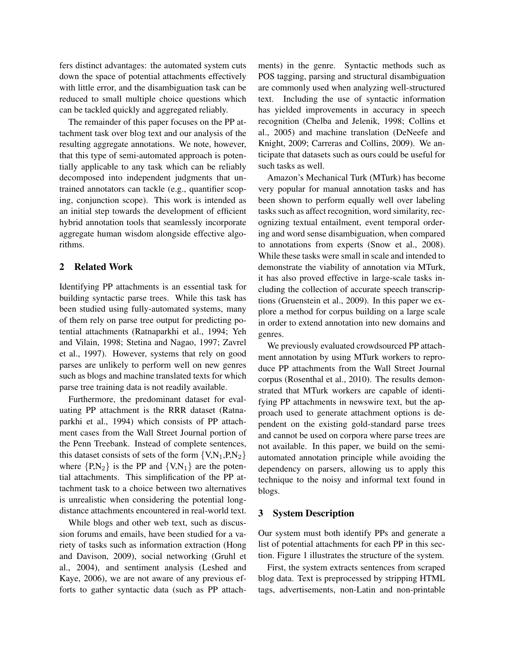fers distinct advantages: the automated system cuts down the space of potential attachments effectively with little error, and the disambiguation task can be reduced to small multiple choice questions which can be tackled quickly and aggregated reliably.

The remainder of this paper focuses on the PP attachment task over blog text and our analysis of the resulting aggregate annotations. We note, however, that this type of semi-automated approach is potentially applicable to any task which can be reliably decomposed into independent judgments that untrained annotators can tackle (e.g., quantifier scoping, conjunction scope). This work is intended as an initial step towards the development of efficient hybrid annotation tools that seamlessly incorporate aggregate human wisdom alongside effective algorithms.

# 2 Related Work

Identifying PP attachments is an essential task for building syntactic parse trees. While this task has been studied using fully-automated systems, many of them rely on parse tree output for predicting potential attachments (Ratnaparkhi et al., 1994; Yeh and Vilain, 1998; Stetina and Nagao, 1997; Zavrel et al., 1997). However, systems that rely on good parses are unlikely to perform well on new genres such as blogs and machine translated texts for which parse tree training data is not readily available.

Furthermore, the predominant dataset for evaluating PP attachment is the RRR dataset (Ratnaparkhi et al., 1994) which consists of PP attachment cases from the Wall Street Journal portion of the Penn Treebank. Instead of complete sentences, this dataset consists of sets of the form  $\{V, N_1, P, N_2\}$ where  $\{P,N_2\}$  is the PP and  $\{V,N_1\}$  are the potential attachments. This simplification of the PP attachment task to a choice between two alternatives is unrealistic when considering the potential longdistance attachments encountered in real-world text.

While blogs and other web text, such as discussion forums and emails, have been studied for a variety of tasks such as information extraction (Hong and Davison, 2009), social networking (Gruhl et al., 2004), and sentiment analysis (Leshed and Kaye, 2006), we are not aware of any previous efforts to gather syntactic data (such as PP attachments) in the genre. Syntactic methods such as POS tagging, parsing and structural disambiguation are commonly used when analyzing well-structured text. Including the use of syntactic information has yielded improvements in accuracy in speech recognition (Chelba and Jelenik, 1998; Collins et al., 2005) and machine translation (DeNeefe and Knight, 2009; Carreras and Collins, 2009). We anticipate that datasets such as ours could be useful for such tasks as well.

Amazon's Mechanical Turk (MTurk) has become very popular for manual annotation tasks and has been shown to perform equally well over labeling tasks such as affect recognition, word similarity, recognizing textual entailment, event temporal ordering and word sense disambiguation, when compared to annotations from experts (Snow et al., 2008). While these tasks were small in scale and intended to demonstrate the viability of annotation via MTurk, it has also proved effective in large-scale tasks including the collection of accurate speech transcriptions (Gruenstein et al., 2009). In this paper we explore a method for corpus building on a large scale in order to extend annotation into new domains and genres.

We previously evaluated crowdsourced PP attachment annotation by using MTurk workers to reproduce PP attachments from the Wall Street Journal corpus (Rosenthal et al., 2010). The results demonstrated that MTurk workers are capable of identifying PP attachments in newswire text, but the approach used to generate attachment options is dependent on the existing gold-standard parse trees and cannot be used on corpora where parse trees are not available. In this paper, we build on the semiautomated annotation principle while avoiding the dependency on parsers, allowing us to apply this technique to the noisy and informal text found in blogs.

#### 3 System Description

Our system must both identify PPs and generate a list of potential attachments for each PP in this section. Figure 1 illustrates the structure of the system.

First, the system extracts sentences from scraped blog data. Text is preprocessed by stripping HTML tags, advertisements, non-Latin and non-printable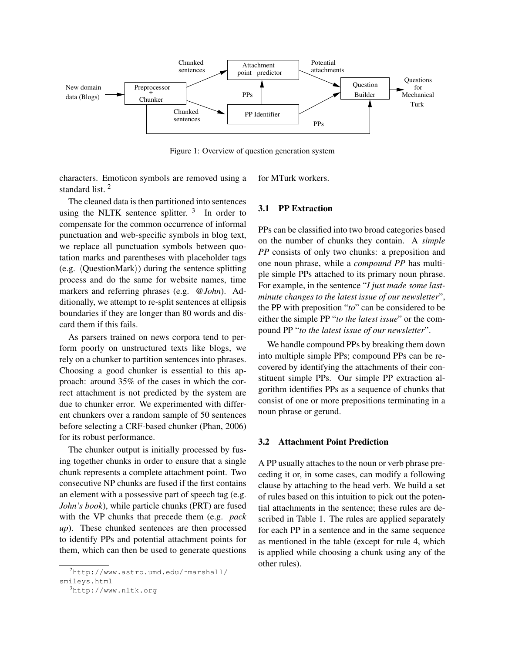

Figure 1: Overview of question generation system

characters. Emoticon symbols are removed using a standard list. <sup>2</sup>

The cleaned data is then partitioned into sentences using the NLTK sentence splitter.  $3\text{ }$  In order to compensate for the common occurrence of informal punctuation and web-specific symbols in blog text, we replace all punctuation symbols between quotation marks and parentheses with placeholder tags (e.g.  $\langle$ QuestionMark $\rangle$ ) during the sentence splitting process and do the same for website names, time markers and referring phrases (e.g. *@John*). Additionally, we attempt to re-split sentences at ellipsis boundaries if they are longer than 80 words and discard them if this fails.

As parsers trained on news corpora tend to perform poorly on unstructured texts like blogs, we rely on a chunker to partition sentences into phrases. Choosing a good chunker is essential to this approach: around 35% of the cases in which the correct attachment is not predicted by the system are due to chunker error. We experimented with different chunkers over a random sample of 50 sentences before selecting a CRF-based chunker (Phan, 2006) for its robust performance.

The chunker output is initially processed by fusing together chunks in order to ensure that a single chunk represents a complete attachment point. Two consecutive NP chunks are fused if the first contains an element with a possessive part of speech tag (e.g. *John's book*), while particle chunks (PRT) are fused with the VP chunks that precede them (e.g. *pack up*). These chunked sentences are then processed to identify PPs and potential attachment points for them, which can then be used to generate questions for MTurk workers.

# 3.1 PP Extraction

PPs can be classified into two broad categories based on the number of chunks they contain. A *simple PP* consists of only two chunks: a preposition and one noun phrase, while a *compound PP* has multiple simple PPs attached to its primary noun phrase. For example, in the sentence "*I just made some lastminute changes to the latest issue of our newsletter*", the PP with preposition "*to*" can be considered to be either the simple PP "*to the latest issue*" or the compound PP "*to the latest issue of our newsletter*".

We handle compound PPs by breaking them down into multiple simple PPs; compound PPs can be recovered by identifying the attachments of their constituent simple PPs. Our simple PP extraction algorithm identifies PPs as a sequence of chunks that consist of one or more prepositions terminating in a noun phrase or gerund.

#### 3.2 Attachment Point Prediction

A PP usually attaches to the noun or verb phrase preceding it or, in some cases, can modify a following clause by attaching to the head verb. We build a set of rules based on this intuition to pick out the potential attachments in the sentence; these rules are described in Table 1. The rules are applied separately for each PP in a sentence and in the same sequence as mentioned in the table (except for rule 4, which is applied while choosing a chunk using any of the other rules).

 $^{2}$ http://www.astro.umd.edu/~marshall/

smileys.html

<sup>3</sup>http://www.nltk.org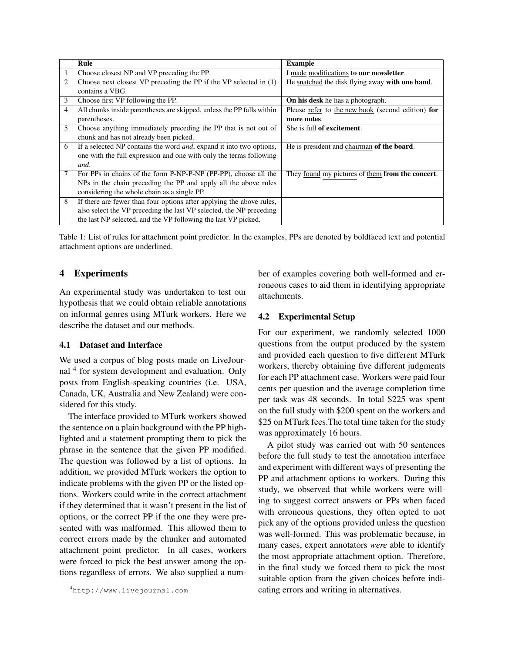|                | Rule                                                                        | <b>Example</b>                                    |
|----------------|-----------------------------------------------------------------------------|---------------------------------------------------|
|                | Choose closest NP and VP preceding the PP.                                  | I made modifications to our newsletter.           |
| $\overline{2}$ | Choose next closest VP preceding the PP if the VP selected in $(1)$         | He snatched the disk flying away with one hand.   |
|                | contains a VBG.                                                             |                                                   |
| 3              | Choose first VP following the PP.                                           | <b>On his desk</b> he has a photograph.           |
| 4              | All chunks inside parentheses are skipped, unless the PP falls within       | Please refer to the new book (second edition) for |
|                | parentheses.                                                                | more notes.                                       |
| 5              | Choose anything immediately preceding the PP that is not out of             | She is full of excitement.                        |
|                | chunk and has not already been picked.                                      |                                                   |
| 6              | If a selected NP contains the word <i>and</i> , expand it into two options, | He is president and chairman of the board.        |
|                | one with the full expression and one with only the terms following          |                                                   |
|                | and.                                                                        |                                                   |
| 7              | For PPs in chains of the form P-NP-P-NP (PP-PP), choose all the             | They found my pictures of them from the concert.  |
|                | NPs in the chain preceding the PP and apply all the above rules             |                                                   |
|                | considering the whole chain as a single PP.                                 |                                                   |
| 8              | If there are fewer than four options after applying the above rules,        |                                                   |
|                | also select the VP preceding the last VP selected, the NP preceding         |                                                   |
|                | the last NP selected, and the VP following the last VP picked.              |                                                   |

Table 1: List of rules for attachment point predictor. In the examples, PPs are denoted by boldfaced text and potential attachment options are underlined.

# 4 Experiments

An experimental study was undertaken to test our hypothesis that we could obtain reliable annotations on informal genres using MTurk workers. Here we describe the dataset and our methods.

## 4.1 Dataset and Interface

We used a corpus of blog posts made on LiveJournal <sup>4</sup> for system development and evaluation. Only posts from English-speaking countries (i.e. USA, Canada, UK, Australia and New Zealand) were considered for this study.

The interface provided to MTurk workers showed the sentence on a plain background with the PP highlighted and a statement prompting them to pick the phrase in the sentence that the given PP modified. The question was followed by a list of options. In addition, we provided MTurk workers the option to indicate problems with the given PP or the listed options. Workers could write in the correct attachment if they determined that it wasn't present in the list of options, or the correct PP if the one they were presented with was malformed. This allowed them to correct errors made by the chunker and automated attachment point predictor. In all cases, workers were forced to pick the best answer among the options regardless of errors. We also supplied a number of examples covering both well-formed and erroneous cases to aid them in identifying appropriate attachments.

# 4.2 Experimental Setup

For our experiment, we randomly selected 1000 questions from the output produced by the system and provided each question to five different MTurk workers, thereby obtaining five different judgments for each PP attachment case. Workers were paid four cents per question and the average completion time per task was 48 seconds. In total \$225 was spent on the full study with \$200 spent on the workers and \$25 on MTurk fees.The total time taken for the study was approximately 16 hours.

A pilot study was carried out with 50 sentences before the full study to test the annotation interface and experiment with different ways of presenting the PP and attachment options to workers. During this study, we observed that while workers were willing to suggest correct answers or PPs when faced with erroneous questions, they often opted to not pick any of the options provided unless the question was well-formed. This was problematic because, in many cases, expert annotators *were* able to identify the most appropriate attachment option. Therefore, in the final study we forced them to pick the most suitable option from the given choices before indicating errors and writing in alternatives.

<sup>4</sup>http://www.livejournal.com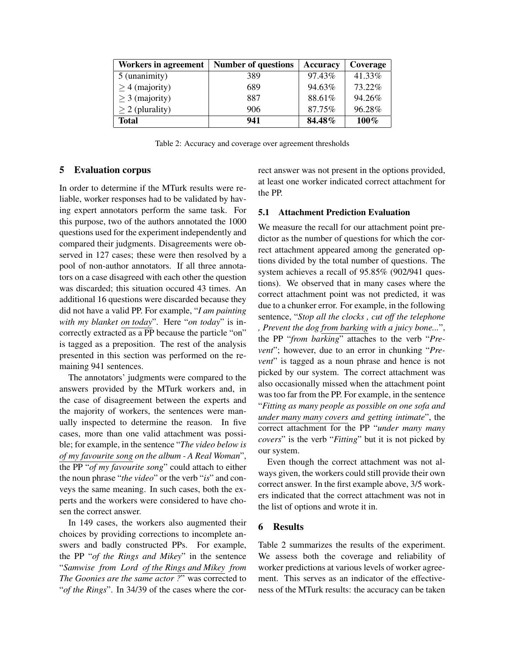| Workers in agreement | <b>Number of questions</b> | Accuracy | Coverage |
|----------------------|----------------------------|----------|----------|
| 5 (unanimity)        | 389                        | 97.43%   | 41.33%   |
| $\geq$ 4 (majority)  | 689                        | 94.63%   | 73.22%   |
| $\geq$ 3 (majority)  | 887                        | 88.61%   | 94.26%   |
| $\geq$ 2 (plurality) | 906                        | 87.75%   | 96.28%   |
| <b>Total</b>         | 941                        | 84.48%   | 100%     |

Table 2: Accuracy and coverage over agreement thresholds

## 5 Evaluation corpus

In order to determine if the MTurk results were reliable, worker responses had to be validated by having expert annotators perform the same task. For this purpose, two of the authors annotated the 1000 questions used for the experiment independently and compared their judgments. Disagreements were observed in 127 cases; these were then resolved by a pool of non-author annotators. If all three annotators on a case disagreed with each other the question was discarded; this situation occured 43 times. An additional 16 questions were discarded because they did not have a valid PP. For example, "*I am painting with my blanket on today*". Here "*on today*" is incorrectly extracted as a PP because the particle "on" is tagged as a preposition. The rest of the analysis presented in this section was performed on the remaining 941 sentences.

The annotators' judgments were compared to the answers provided by the MTurk workers and, in the case of disagreement between the experts and the majority of workers, the sentences were manually inspected to determine the reason. In five cases, more than one valid attachment was possible; for example, in the sentence "*The video below is of my favourite song on the album - A Real Woman*", the PP "*of my favourite song*" could attach to either the noun phrase "*the video*" or the verb "*is*" and conveys the same meaning. In such cases, both the experts and the workers were considered to have chosen the correct answer.

In 149 cases, the workers also augmented their choices by providing corrections to incomplete answers and badly constructed PPs. For example, the PP "*of the Rings and Mikey*" in the sentence "*Samwise from Lord of the Rings and Mikey from The Goonies are the same actor ?*" was corrected to "*of the Rings*". In 34/39 of the cases where the correct answer was not present in the options provided, at least one worker indicated correct attachment for the PP.

## 5.1 Attachment Prediction Evaluation

We measure the recall for our attachment point predictor as the number of questions for which the correct attachment appeared among the generated options divided by the total number of questions. The system achieves a recall of 95.85% (902/941 questions). We observed that in many cases where the correct attachment point was not predicted, it was due to a chunker error. For example, in the following sentence, "*Stop all the clocks , cut off the telephone , Prevent the dog from barking with a juicy bone...*", the PP "*from barking*" attaches to the verb "*Prevent*"; however, due to an error in chunking "*Prevent*" is tagged as a noun phrase and hence is not picked by our system. The correct attachment was also occasionally missed when the attachment point was too far from the PP. For example, in the sentence "*Fitting as many people as possible on one sofa and under many many covers and getting intimate*", the correct attachment for the PP "*under many many covers*" is the verb "*Fitting*" but it is not picked by our system.

Even though the correct attachment was not always given, the workers could still provide their own correct answer. In the first example above, 3/5 workers indicated that the correct attachment was not in the list of options and wrote it in.

## 6 Results

Table 2 summarizes the results of the experiment. We assess both the coverage and reliability of worker predictions at various levels of worker agreement. This serves as an indicator of the effectiveness of the MTurk results: the accuracy can be taken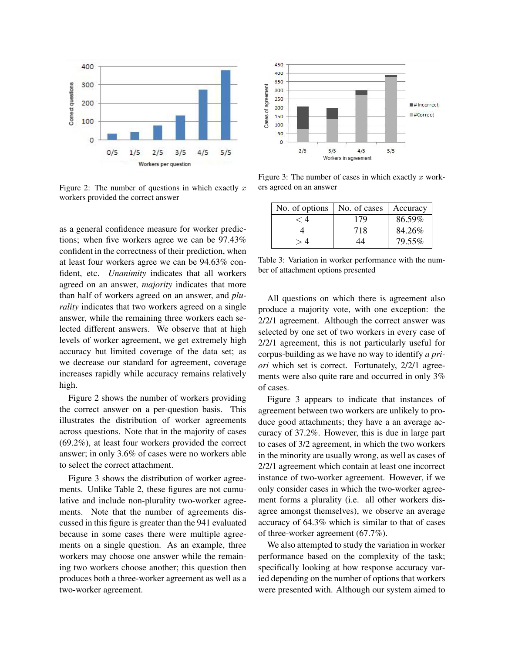

Figure 2: The number of questions in which exactly x workers provided the correct answer

as a general confidence measure for worker predictions; when five workers agree we can be 97.43% confident in the correctness of their prediction, when at least four workers agree we can be 94.63% confident, etc. *Unanimity* indicates that all workers agreed on an answer, *majority* indicates that more than half of workers agreed on an answer, and *plurality* indicates that two workers agreed on a single answer, while the remaining three workers each selected different answers. We observe that at high levels of worker agreement, we get extremely high accuracy but limited coverage of the data set; as we decrease our standard for agreement, coverage increases rapidly while accuracy remains relatively high.

Figure 2 shows the number of workers providing the correct answer on a per-question basis. This illustrates the distribution of worker agreements across questions. Note that in the majority of cases (69.2%), at least four workers provided the correct answer; in only 3.6% of cases were no workers able to select the correct attachment.

Figure 3 shows the distribution of worker agreements. Unlike Table 2, these figures are not cumulative and include non-plurality two-worker agreements. Note that the number of agreements discussed in this figure is greater than the 941 evaluated because in some cases there were multiple agreements on a single question. As an example, three workers may choose one answer while the remaining two workers choose another; this question then produces both a three-worker agreement as well as a two-worker agreement.



Figure 3: The number of cases in which exactly  $x$  workers agreed on an answer

| No. of options $\vert$ No. of cases |     | Accuracy |
|-------------------------------------|-----|----------|
| - 4                                 | 179 | 86.59%   |
|                                     | 718 | 84.26%   |
|                                     | 44  | 79.55%   |

Table 3: Variation in worker performance with the number of attachment options presented

All questions on which there is agreement also produce a majority vote, with one exception: the 2/2/1 agreement. Although the correct answer was selected by one set of two workers in every case of 2/2/1 agreement, this is not particularly useful for corpus-building as we have no way to identify *a priori* which set is correct. Fortunately, 2/2/1 agreements were also quite rare and occurred in only 3% of cases.

Figure 3 appears to indicate that instances of agreement between two workers are unlikely to produce good attachments; they have a an average accuracy of 37.2%. However, this is due in large part to cases of 3/2 agreement, in which the two workers in the minority are usually wrong, as well as cases of 2/2/1 agreement which contain at least one incorrect instance of two-worker agreement. However, if we only consider cases in which the two-worker agreement forms a plurality (i.e. all other workers disagree amongst themselves), we observe an average accuracy of 64.3% which is similar to that of cases of three-worker agreement (67.7%).

We also attempted to study the variation in worker performance based on the complexity of the task; specifically looking at how response accuracy varied depending on the number of options that workers were presented with. Although our system aimed to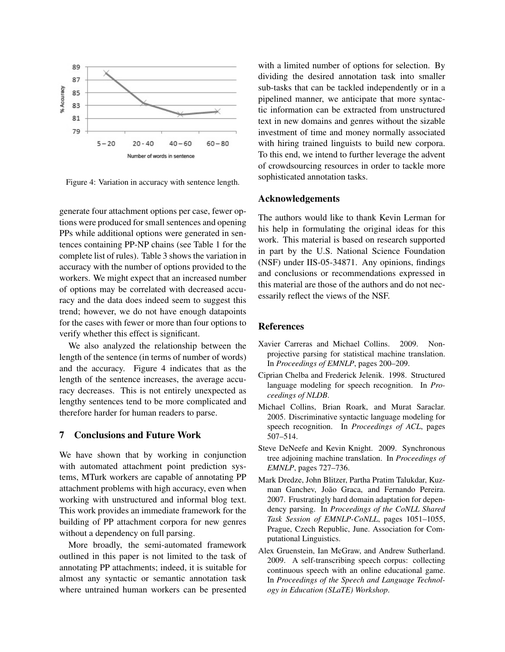

Figure 4: Variation in accuracy with sentence length.

generate four attachment options per case, fewer options were produced for small sentences and opening PPs while additional options were generated in sentences containing PP-NP chains (see Table 1 for the complete list of rules). Table 3 shows the variation in accuracy with the number of options provided to the workers. We might expect that an increased number of options may be correlated with decreased accuracy and the data does indeed seem to suggest this trend; however, we do not have enough datapoints for the cases with fewer or more than four options to verify whether this effect is significant.

We also analyzed the relationship between the length of the sentence (in terms of number of words) and the accuracy. Figure 4 indicates that as the length of the sentence increases, the average accuracy decreases. This is not entirely unexpected as lengthy sentences tend to be more complicated and therefore harder for human readers to parse.

## 7 Conclusions and Future Work

We have shown that by working in conjunction with automated attachment point prediction systems, MTurk workers are capable of annotating PP attachment problems with high accuracy, even when working with unstructured and informal blog text. This work provides an immediate framework for the building of PP attachment corpora for new genres without a dependency on full parsing.

More broadly, the semi-automated framework outlined in this paper is not limited to the task of annotating PP attachments; indeed, it is suitable for almost any syntactic or semantic annotation task where untrained human workers can be presented with a limited number of options for selection. By dividing the desired annotation task into smaller sub-tasks that can be tackled independently or in a pipelined manner, we anticipate that more syntactic information can be extracted from unstructured text in new domains and genres without the sizable investment of time and money normally associated with hiring trained linguists to build new corpora. To this end, we intend to further leverage the advent of crowdsourcing resources in order to tackle more sophisticated annotation tasks.

## Acknowledgements

The authors would like to thank Kevin Lerman for his help in formulating the original ideas for this work. This material is based on research supported in part by the U.S. National Science Foundation (NSF) under IIS-05-34871. Any opinions, findings and conclusions or recommendations expressed in this material are those of the authors and do not necessarily reflect the views of the NSF.

## References

- Xavier Carreras and Michael Collins. 2009. Nonprojective parsing for statistical machine translation. In *Proceedings of EMNLP*, pages 200–209.
- Ciprian Chelba and Frederick Jelenik. 1998. Structured language modeling for speech recognition. In *Proceedings of NLDB*.
- Michael Collins, Brian Roark, and Murat Saraclar. 2005. Discriminative syntactic language modeling for speech recognition. In *Proceedings of ACL*, pages 507–514.
- Steve DeNeefe and Kevin Knight. 2009. Synchronous tree adjoining machine translation. In *Proceedings of EMNLP*, pages 727–736.
- Mark Dredze, John Blitzer, Partha Pratim Talukdar, Kuzman Ganchev, João Graca, and Fernando Pereira. 2007. Frustratingly hard domain adaptation for dependency parsing. In *Proceedings of the CoNLL Shared Task Session of EMNLP-CoNLL*, pages 1051–1055, Prague, Czech Republic, June. Association for Computational Linguistics.
- Alex Gruenstein, Ian McGraw, and Andrew Sutherland. 2009. A self-transcribing speech corpus: collecting continuous speech with an online educational game. In *Proceedings of the Speech and Language Technology in Education (SLaTE) Workshop*.